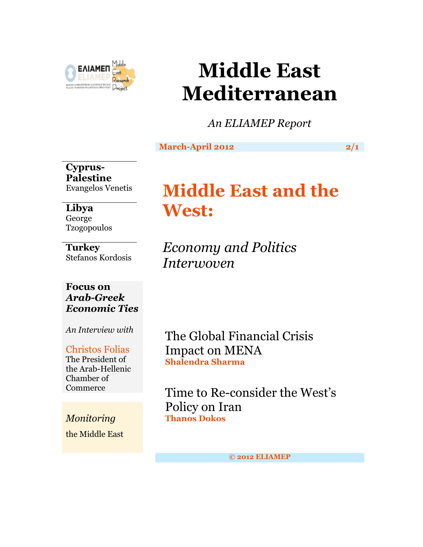

# **Middle East Mediterranean**

*An ELIAMEP Report*

## **March-April 2012** 2/1

**Cyprus-Palestine** Evangelos Venetis

## **Libya** George Tzogopoulos

**Turkey** Stefanos Kordosis

# **Focus on**  *Arab-Greek Economic Ties*

*An Interview with*

### Christos Folias The President of the Arab-Hellenic Chamber of **Commerce**

*Monitoring* the Middle East

# **Middle East and the West:**

*Economy and Politics Interwoven*

The Global Financial Crisis Impact on MENA **Shalendra Sharma**

Time to Re-consider the West's Policy on Iran **Thanos Dokos**

**© 2012 ELIAMEP**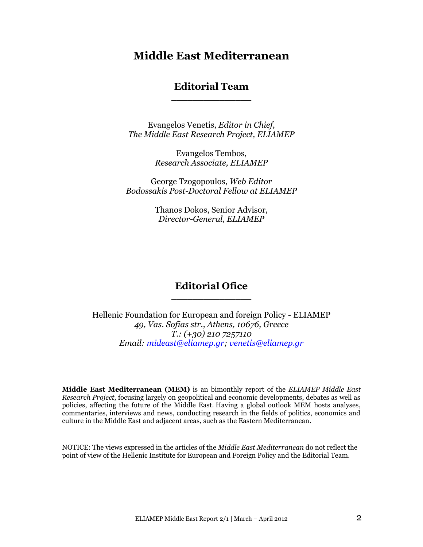# **Middle East Mediterranean**

### **Editorial Team** \_\_\_\_\_\_\_\_\_\_\_\_\_\_\_

Evangelos Venetis, *Editor in Chief, The Middle East Research Project, ELIAMEP*

> Evangelos Tembos, *Research Associate, ELIAMEP*

George Tzogopoulos, *Web Editor Bodossakis Post-Doctoral Fellow at ELIAMEP*

> Thanos Dokos, Senior Advisor*, Director-General, ELIAMEP*

## **Editorial Ofice** \_\_\_\_\_\_\_\_\_\_\_\_\_\_\_

Hellenic Foundation for European and foreign Policy - ELIAMEP *49, Vas. Sofias str., Athens, 10676, Greece T.: (+30) 210 7257110 Email: [mideast@eliamep.gr;](mailto:mideast@eliamep.gr) [venetis@eliamep.gr](mailto:venetis@eliamep.gr)*

**Middle East Mediterranean (MEM)** is an bimonthly report of the *ELIAMEP Middle East Research Project*, focusing largely on geopolitical and economic developments, debates as well as policies, affecting the future of the Middle East. Having a global outlook MEM hosts analyses, commentaries, interviews and news, conducting research in the fields of politics, economics and culture in the Middle East and adjacent areas, such as the Eastern Mediterranean.

NOTICE: The views expressed in the articles of the *Middle East Mediterranean* do not reflect the point of view of the Hellenic Institute for European and Foreign Policy and the Editorial Team.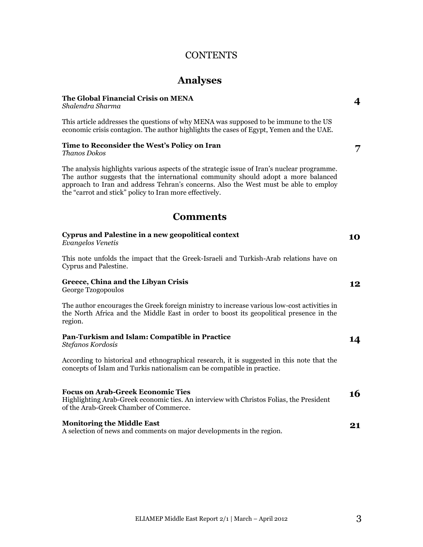### **CONTENTS**

# **Analyses**

#### **The Global Financial Crisis on MENA**

*Shalendra Sharma*

This article addresses the questions of why MENA was supposed to be immune to the US economic crisis contagion. The author highlights the cases of Egypt, Yemen and the UAE.

### **Time to Reconsider the West's Policy on Iran**

*Thanos Dokos*

The analysis highlights various aspects of the strategic issue of Iran's nuclear programme. The author suggests that the international community should adopt a more balanced approach to Iran and address Tehran's concerns. Also the West must be able to employ the "carrot and stick" policy to Iran more effectively.

### **Comments**

| Cyprus and Palestine in a new geopolitical context<br>Evangelos Venetis                                                                                                                           | 10 |
|---------------------------------------------------------------------------------------------------------------------------------------------------------------------------------------------------|----|
| This note unfolds the impact that the Greek-Israeli and Turkish-Arab relations have on<br>Cyprus and Palestine.                                                                                   |    |
| Greece, China and the Libyan Crisis<br>George Tzogopoulos                                                                                                                                         | 12 |
| The author encourages the Greek foreign ministry to increase various low-cost activities in<br>the North Africa and the Middle East in order to boost its geopolitical presence in the<br>region. |    |
| Pan-Turkism and Islam: Compatible in Practice<br>Stefanos Kordosis                                                                                                                                | 14 |
| According to historical and ethnographical research, it is suggested in this note that the<br>concepts of Islam and Turkis nationalism can be compatible in practice.                             |    |
| <b>Focus on Arab-Greek Economic Ties</b><br>Highlighting Arab-Greek economic ties. An interview with Christos Folias, the President<br>of the Arab-Greek Chamber of Commerce.                     | 16 |
| <b>Monitoring the Middle East</b><br>A selection of news and comments on major developments in the region.                                                                                        | 21 |

**4**

**7**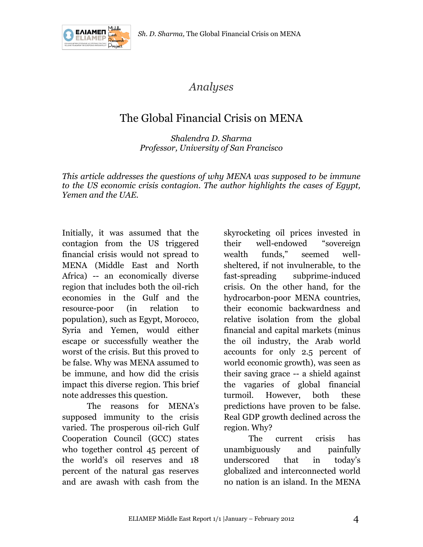

# *Analyses*

# The Global Financial Crisis on MENA

*Shalendra D. Sharma Professor, University of San Francisco*

*This article addresses the questions of why MENA was supposed to be immune to the US economic crisis contagion. The author highlights the cases of Egypt, Yemen and the UAE.*

Initially, it was assumed that the contagion from the US triggered financial crisis would not spread to MENA (Middle East and North Africa) -- an economically diverse region that includes both the oil-rich economies in the Gulf and the resource-poor (in relation to population), such as Egypt, Morocco, Syria and Yemen, would either escape or successfully weather the worst of the crisis. But this proved to be false. Why was MENA assumed to be immune, and how did the crisis impact this diverse region. This brief note addresses this question.

The reasons for MENA's supposed immunity to the crisis varied. The prosperous oil-rich Gulf Cooperation Council (GCC) states who together control 45 percent of the world's oil reserves and 18 percent of the natural gas reserves and are awash with cash from the

skyrocketing oil prices invested in their well-endowed "sovereign wealth funds," seemed wellsheltered, if not invulnerable, to the fast-spreading subprime-induced crisis. On the other hand, for the hydrocarbon-poor MENA countries, their economic backwardness and relative isolation from the global financial and capital markets (minus the oil industry, the Arab world accounts for only 2.5 percent of world economic growth), was seen as their saving grace -- a shield against the vagaries of global financial turmoil. However, both these predictions have proven to be false. Real GDP growth declined across the region. Why?

The current crisis has unambiguously and painfully underscored that in today's globalized and interconnected world no nation is an island. In the MENA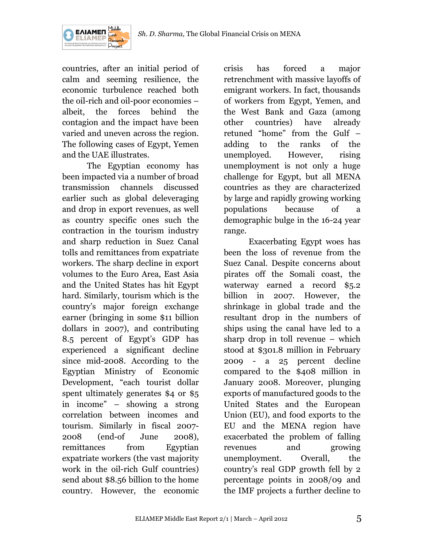

countries, after an initial period of calm and seeming resilience, the economic turbulence reached both the oil-rich and oil-poor economies – albeit, the forces behind the contagion and the impact have been varied and uneven across the region. The following cases of Egypt, Yemen and the UAE illustrates.

The Egyptian economy has been impacted via a number of broad transmission channels discussed earlier such as global deleveraging and drop in export revenues, as well as country specific ones such the contraction in the tourism industry and sharp reduction in Suez Canal tolls and remittances from expatriate workers. The sharp decline in export volumes to the Euro Area, East Asia and the United States has hit Egypt hard. Similarly, tourism which is the country's major foreign exchange earner (bringing in some \$11 billion dollars in 2007), and contributing 8.5 percent of Egypt's GDP has experienced a significant decline since mid-2008. According to the Egyptian Ministry of Economic Development, "each tourist dollar spent ultimately generates \$4 or \$5 in income" – showing a strong correlation between incomes and tourism. Similarly in fiscal 2007- 2008 (end-of June 2008), remittances from Egyptian expatriate workers (the vast majority work in the oil-rich Gulf countries) send about \$8.56 billion to the home country. However, the economic

crisis has forced a major retrenchment with massive layoffs of emigrant workers. In fact, thousands of workers from Egypt, Yemen, and the West Bank and Gaza (among other countries) have already retuned "home" from the Gulf – adding to the ranks of the unemployed. However, rising unemployment is not only a huge challenge for Egypt, but all MENA countries as they are characterized by large and rapidly growing working populations because of a demographic bulge in the 16-24 year range.

Exacerbating Egypt woes has been the loss of revenue from the Suez Canal. Despite concerns about pirates off the Somali coast, the waterway earned a record \$5.2 billion in 2007. However, the shrinkage in global trade and the resultant drop in the numbers of ships using the canal have led to a sharp drop in toll revenue – which stood at \$301.8 million in February 2009 - a 25 percent decline compared to the \$408 million in January 2008. Moreover, plunging exports of manufactured goods to the United States and the European Union (EU), and food exports to the EU and the MENA region have exacerbated the problem of falling revenues and growing unemployment. Overall, the country's real GDP growth fell by 2 percentage points in 2008/09 and the IMF projects a further decline to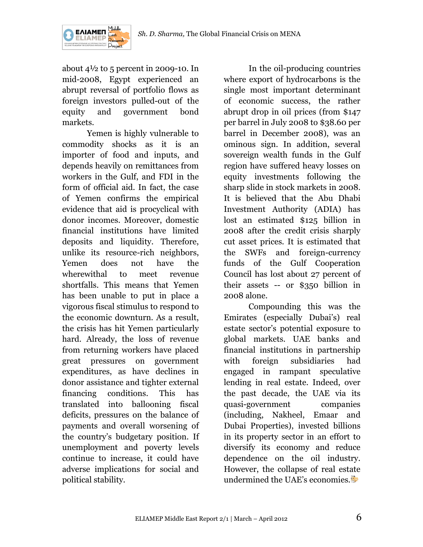

about  $4\frac{1}{2}$  to 5 percent in 2009-10. In mid-2008, Egypt experienced an abrupt reversal of portfolio flows as foreign investors pulled-out of the equity and government bond markets.

Yemen is highly vulnerable to commodity shocks as it is an importer of food and inputs, and depends heavily on remittances from workers in the Gulf, and FDI in the form of official aid. In fact, the case of Yemen confirms the empirical evidence that aid is procyclical with donor incomes. Moreover, domestic financial institutions have limited deposits and liquidity. Therefore, unlike its resource-rich neighbors, Yemen does not have the wherewithal to meet revenue shortfalls. This means that Yemen has been unable to put in place a vigorous fiscal stimulus to respond to the economic downturn. As a result, the crisis has hit Yemen particularly hard. Already, the loss of revenue from returning workers have placed great pressures on government expenditures, as have declines in donor assistance and tighter external financing conditions. This has translated into ballooning fiscal deficits, pressures on the balance of payments and overall worsening of the country's budgetary position. If unemployment and poverty levels continue to increase, it could have adverse implications for social and political stability.

In the oil-producing countries where export of hydrocarbons is the single most important determinant of economic success, the rather abrupt drop in oil prices (from \$147 per barrel in July 2008 to \$38.60 per barrel in December 2008), was an ominous sign. In addition, several sovereign wealth funds in the Gulf region have suffered heavy losses on equity investments following the sharp slide in stock markets in 2008. It is believed that the Abu Dhabi Investment Authority (ADIA) has lost an estimated \$125 billion in 2008 after the credit crisis sharply cut asset prices. It is estimated that the SWFs and foreign-currency funds of the Gulf Cooperation Council has lost about 27 percent of their assets -- or \$350 billion in 2008 alone.

Compounding this was the Emirates (especially Dubai's) real estate sector's potential exposure to global markets. UAE banks and financial institutions in partnership with foreign subsidiaries had engaged in rampant speculative lending in real estate. Indeed, over the past decade, the UAE via its quasi-government companies (including, Nakheel, Emaar and Dubai Properties), invested billions in its property sector in an effort to diversify its economy and reduce dependence on the oil industry. However, the collapse of real estate undermined the UAE's economies.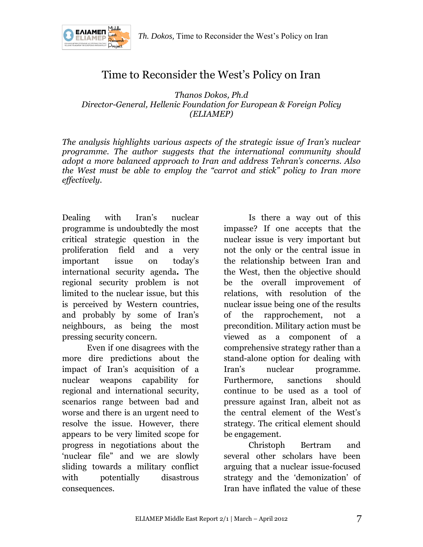

# Time to Reconsider the West's Policy on Iran

*Thanos Dokos, Ph.d Director-General, Hellenic Foundation for European & Foreign Policy (ELIAMEP)*

*The analysis highlights various aspects of the strategic issue of Iran's nuclear programme. The author suggests that the international community should adopt a more balanced approach to Iran and address Tehran's concerns. Also the West must be able to employ the "carrot and stick" policy to Iran more effectively.*

Dealing with Iran's nuclear programme is undoubtedly the most critical strategic question in the proliferation field and a very important issue on today's international security agenda**.** The regional security problem is not limited to the nuclear issue, but this is perceived by Western countries, and probably by some of Iran's neighbours, as being the most pressing security concern.

Even if one disagrees with the more dire predictions about the impact of Iran's acquisition of a nuclear weapons capability for regional and international security, scenarios range between bad and worse and there is an urgent need to resolve the issue. However, there appears to be very limited scope for progress in negotiations about the 'nuclear file" and we are slowly sliding towards a military conflict with potentially disastrous consequences.

Is there a way out of this impasse? If one accepts that the nuclear issue is very important but not the only or the central issue in the relationship between Iran and the West, then the objective should be the overall improvement of relations, with resolution of the nuclear issue being one of the results of the rapprochement, not a precondition. Military action must be viewed as a component of a comprehensive strategy rather than a stand-alone option for dealing with Iran's nuclear programme. Furthermore, sanctions should continue to be used as a tool of pressure against Iran, albeit not as the central element of the West's strategy. The critical element should be engagement.

Christoph Bertram and several other scholars have been arguing that a nuclear issue-focused strategy and the 'demonization' of Iran have inflated the value of these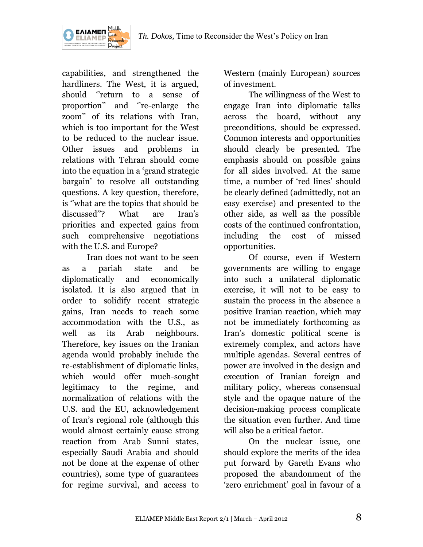

capabilities, and strengthened the hardliners. The West, it is argued, should ''return to a sense of proportion'' and ''re-enlarge the zoom'' of its relations with Iran, which is too important for the West to be reduced to the nuclear issue. Other issues and problems in relations with Tehran should come into the equation in a 'grand strategic bargain' to resolve all outstanding questions. A key question, therefore, is ''what are the topics that should be discussed''? What are Iran's priorities and expected gains from such comprehensive negotiations with the U.S. and Europe?

ΕΛΙΑΜΕΠ

Iran does not want to be seen as a pariah state and be diplomatically and economically isolated. It is also argued that in order to solidify recent strategic gains, Iran needs to reach some accommodation with the U.S., as well as its Arab neighbours. Therefore, key issues on the Iranian agenda would probably include the re-establishment of diplomatic links, which would offer much-sought legitimacy to the regime, and normalization of relations with the U.S. and the EU, acknowledgement of Iran's regional role (although this would almost certainly cause strong reaction from Arab Sunni states, especially Saudi Arabia and should not be done at the expense of other countries), some type of guarantees for regime survival, and access to

Western (mainly European) sources of investment.

The willingness of the West to engage Iran into diplomatic talks across the board, without any preconditions, should be expressed. Common interests and opportunities should clearly be presented. The emphasis should on possible gains for all sides involved. At the same time, a number of 'red lines' should be clearly defined (admittedly, not an easy exercise) and presented to the other side, as well as the possible costs of the continued confrontation, including the cost of missed opportunities.

Of course, even if Western governments are willing to engage into such a unilateral diplomatic exercise, it will not to be easy to sustain the process in the absence a positive Iranian reaction, which may not be immediately forthcoming as Iran's domestic political scene is extremely complex, and actors have multiple agendas. Several centres of power are involved in the design and execution of Iranian foreign and military policy, whereas consensual style and the opaque nature of the decision-making process complicate the situation even further. And time will also be a critical factor.

On the nuclear issue, one should explore the merits of the idea put forward by Gareth Evans who proposed the abandonment of the 'zero enrichment' goal in favour of a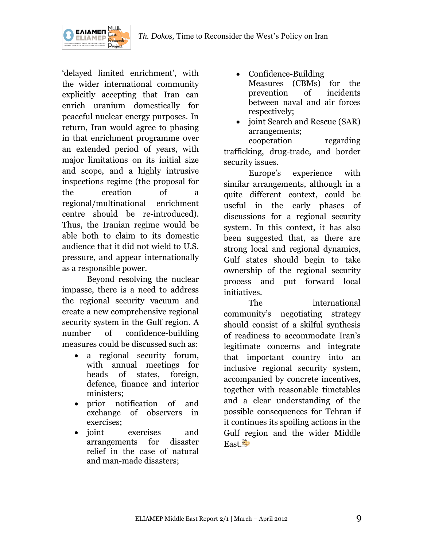

ΕΛΙΑΜΕΠ

'delayed limited enrichment', with the wider international community explicitly accepting that Iran can enrich uranium domestically for peaceful nuclear energy purposes. In return, Iran would agree to phasing in that enrichment programme over an extended period of years, with major limitations on its initial size and scope, and a highly intrusive inspections regime (the proposal for the creation of a regional/multinational enrichment centre should be re-introduced). Thus, the Iranian regime would be able both to claim to its domestic audience that it did not wield to U.S. pressure, and appear internationally as a responsible power.

Beyond resolving the nuclear impasse, there is a need to address the regional security vacuum and create a new comprehensive regional security system in the Gulf region. A number of confidence-building measures could be discussed such as:

- a regional security forum, with annual meetings for heads of states, foreign, defence, finance and interior ministers;
- prior notification of and exchange of observers in exercises;
- joint exercises and arrangements for disaster relief in the case of natural and man-made disasters;
- Confidence-Building Measures (CBMs) for the prevention of incidents between naval and air forces respectively;
- joint Search and Rescue (SAR) arrangements;

cooperation regarding trafficking, drug-trade, and border security issues.

Europe's experience with similar arrangements, although in a quite different context, could be useful in the early phases of discussions for a regional security system. In this context, it has also been suggested that, as there are strong local and regional dynamics, Gulf states should begin to take ownership of the regional security process and put forward local initiatives.

The international community's negotiating strategy should consist of a skilful synthesis of readiness to accommodate Iran's legitimate concerns and integrate that important country into an inclusive regional security system, accompanied by concrete incentives, together with reasonable timetables and a clear understanding of the possible consequences for Tehran if it continues its spoiling actions in the Gulf region and the wider Middle East.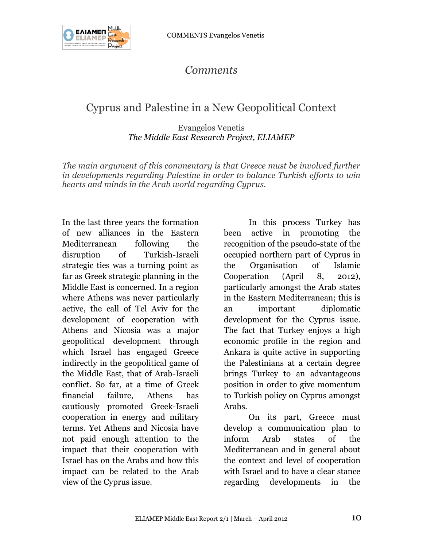

# *Comments*

# Cyprus and Palestine in a New Geopolitical Context

Evangelos Venetis *The Middle East Research Project, ELIAMEP*

*The main argument of this commentary is that Greece must be involved further in developments regarding Palestine in order to balance Turkish efforts to win hearts and minds in the Arab world regarding Cyprus.*

In the last three years the formation of new alliances in the Eastern Mediterranean following the disruption of Turkish-Israeli strategic ties was a turning point as far as Greek strategic planning in the Middle East is concerned. In a region where Athens was never particularly active, the call of Tel Aviv for the development of cooperation with Athens and Nicosia was a major geopolitical development through which Israel has engaged Greece indirectly in the geopolitical game of the Middle East, that of Arab-Israeli conflict. So far, at a time of Greek financial failure, Athens has cautiously promoted Greek-Israeli cooperation in energy and military terms. Yet Athens and Nicosia have not paid enough attention to the impact that their cooperation with Israel has on the Arabs and how this impact can be related to the Arab view of the Cyprus issue.

In this process Turkey has been active in promoting the recognition of the pseudo-state of the occupied northern part of Cyprus in the Organisation of Islamic Cooperation (April 8, 2012), particularly amongst the Arab states in the Eastern Mediterranean; this is an important diplomatic development for the Cyprus issue. The fact that Turkey enjoys a high economic profile in the region and Ankara is quite active in supporting the Palestinians at a certain degree brings Turkey to an advantageous position in order to give momentum to Turkish policy on Cyprus amongst Arabs.

On its part, Greece must develop a communication plan to inform Arab states of the Mediterranean and in general about the context and level of cooperation with Israel and to have a clear stance regarding developments in the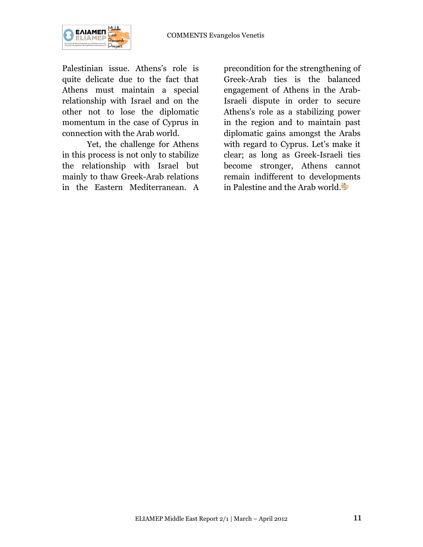

Palestinian issue. Athens's role is quite delicate due to the fact that Athens must maintain a special relationship with Israel and on the other not to lose the diplomatic momentum in the case of Cyprus in connection with the Arab world.

Yet, the challenge for Athens in this process is not only to stabilize the relationship with Israel but mainly to thaw Greek-Arab relations in the Eastern Mediterranean. A

precondition for the strengthening of Greek-Arab ties is the balanced engagement of Athens in the Arab-Israeli dispute in order to secure Athens's role as a stabilizing power in the region and to maintain past diplomatic gains amongst the Arabs with regard to Cyprus. Let's make it clear; as long as Greek-Israeli ties become stronger, Athens cannot remain indifferent to developments in Palestine and the Arab world.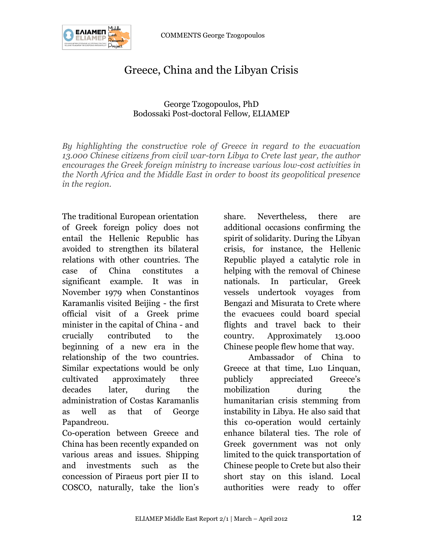COMMENTS George Tzogopoulos



# Greece, China and the Libyan Crisis

### George Tzogopoulos, PhD Bodossaki Post-doctoral Fellow*,* ELIAMEP

*By highlighting the constructive role of Greece in regard to the evacuation 13.000 Chinese citizens from civil war-torn Libya to Crete last year, the author encourages the Greek foreign ministry to increase various low-cost activities in the North Africa and the Middle East in order to boost its geopolitical presence in the region.*

The traditional European orientation of Greek foreign policy does not entail the Hellenic Republic has avoided to strengthen its bilateral relations with other countries. The case of China constitutes a significant example. It was in November 1979 when Constantinos Karamanlis visited Beijing - the first official visit of a Greek prime minister in the capital of China - and crucially contributed to the beginning of a new era in the relationship of the two countries. Similar expectations would be only cultivated approximately three decades later, during the administration of Costas Karamanlis as well as that of George Papandreou.

Co-operation between Greece and China has been recently expanded on various areas and issues. Shipping and investments such as the concession of Piraeus port pier II to COSCO, naturally, take the lion's

share. Nevertheless, there are additional occasions confirming the spirit of solidarity. During the Libyan crisis, for instance, the Hellenic Republic played a catalytic role in helping with the removal of Chinese nationals. In particular, Greek vessels undertook voyages from Bengazi and Misurata to Crete where the evacuees could board special flights and travel back to their country. Approximately 13.000 Chinese people flew home that way.

Ambassador of China to Greece at that time, Luo Linquan, publicly appreciated Greece's mobilization during the humanitarian crisis stemming from instability in Libya. He also said that this co-operation would certainly enhance bilateral ties. The role of Greek government was not only limited to the quick transportation of Chinese people to Crete but also their short stay on this island. Local authorities were ready to offer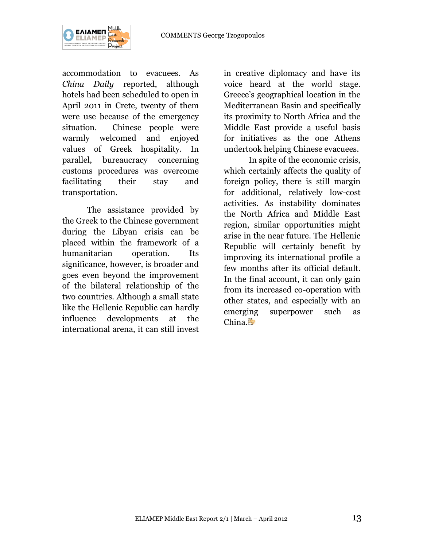

accommodation to evacuees. As *China Daily* reported, although hotels had been scheduled to open in April 2011 in Crete, twenty of them were use because of the emergency situation. Chinese people were warmly welcomed and enjoyed values of Greek hospitality. In parallel, bureaucracy concerning customs procedures was overcome facilitating their stay and transportation.

The assistance provided by the Greek to the Chinese government during the Libyan crisis can be placed within the framework of a humanitarian operation. Its significance, however, is broader and goes even beyond the improvement of the bilateral relationship of the two countries. Although a small state like the Hellenic Republic can hardly influence developments at the international arena, it can still invest

in creative diplomacy and have its voice heard at the world stage. Greece's geographical location in the Mediterranean Basin and specifically its proximity to North Africa and the Middle East provide a useful basis for initiatives as the one Athens undertook helping Chinese evacuees.

In spite of the economic crisis, which certainly affects the quality of foreign policy, there is still margin for additional, relatively low-cost activities. As instability dominates the North Africa and Middle East region, similar opportunities might arise in the near future. The Hellenic Republic will certainly benefit by improving its international profile a few months after its official default. In the final account, it can only gain from its increased co-operation with other states, and especially with an emerging superpower such as China.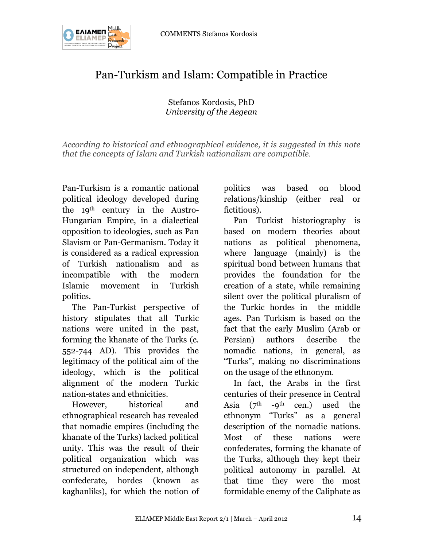



# Pan-Turkism and Islam: Compatible in Practice

### Stefanos Kordosis, PhD *University of the Aegean*

*According to historical and ethnographical evidence, it is suggested in this note that the concepts of Islam and Turkish nationalism are compatible.*

Pan-Turkism is a romantic national political ideology developed during the 19th century in the Austro-Hungarian Empire, in a dialectical opposition to ideologies, such as Pan Slavism or Pan-Germanism. Today it is considered as a radical expression of Turkish nationalism and as incompatible with the modern Islamic movement in Turkish politics.

The Pan-Turkist perspective of history stipulates that all Turkic nations were united in the past, forming the khanate of the Turks (c. 552-744 AD). This provides the legitimacy of the political aim of the ideology, which is the political alignment of the modern Turkic nation-states and ethnicities.

However, historical and ethnographical research has revealed that nomadic empires (including the khanate of the Turks) lacked political unity. This was the result of their political organization which was structured on independent, although confederate, hordes (known as kaghanliks), for which the notion of politics was based on blood relations/kinship (either real or fictitious).

Pan Turkist historiography is based on modern theories about nations as political phenomena, where language (mainly) is the spiritual bond between humans that provides the foundation for the creation of a state, while remaining silent over the political pluralism of the Turkic hordes in the middle ages. Pan Turkism is based on the fact that the early Muslim (Arab or Persian) authors describe the nomadic nations, in general, as "Turks", making no discriminations on the usage of the ethnonym.

In fact, the Arabs in the first centuries of their presence in Central Asia  $(7<sup>th</sup> -9<sup>th</sup>$  cen.) used the ethnonym "Turks" as a general description of the nomadic nations. Most of these nations were confederates, forming the khanate of the Turks, although they kept their political autonomy in parallel. At that time they were the most formidable enemy of the Caliphate as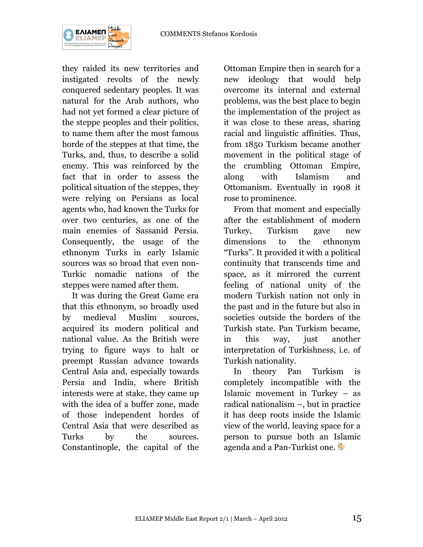

they raided its new territories and instigated revolts of the newly conquered sedentary peoples. It was natural for the Arab authors, who had not yet formed a clear picture of the steppe peoples and their politics, to name them after the most famous horde of the steppes at that time, the Turks, and, thus, to describe a solid enemy. This was reinforced by the fact that in order to assess the political situation of the steppes, they were relying on Persians as local agents who, had known the Turks for over two centuries, as one of the main enemies of Sassanid Persia. Consequently, the usage of the ethnonym Turks in early Islamic sources was so broad that even non-Turkic nomadic nations of the steppes were named after them.

It was during the Great Game era that this ethnonym, so broadly used by medieval Muslim sources, acquired its modern political and national value. As the British were trying to figure ways to halt or preempt Russian advance towards Central Asia and, especially towards Persia and India, where British interests were at stake, they came up with the idea of a buffer zone, made of those independent hordes of Central Asia that were described as Turks by the sources. Constantinople, the capital of the

Ottoman Empire then in search for a new ideology that would help overcome its internal and external problems, was the best place to begin the implementation of the project as it was close to these areas, sharing racial and linguistic affinities. Thus, from 1850 Turkism became another movement in the political stage of the crumbling Ottoman Empire, along with Islamism and Ottomanism. Eventually in 1908 it rose to prominence.

From that moment and especially after the establishment of modern Turkey, Turkism gave new dimensions to the ethnonym "Turks". It provided it with a political continuity that transcends time and space, as it mirrored the current feeling of national unity of the modern Turkish nation not only in the past and in the future but also in societies outside the borders of the Turkish state. Pan Turkism became, in this way, just another interpretation of Turkishness, i.e. of Turkish nationality.

In theory Pan Turkism is completely incompatible with the Islamic movement in Turkey – as radical nationalism –, but in practice it has deep roots inside the Islamic view of the world, leaving space for a person to pursue both an Islamic agenda and a Pan-Turkist one.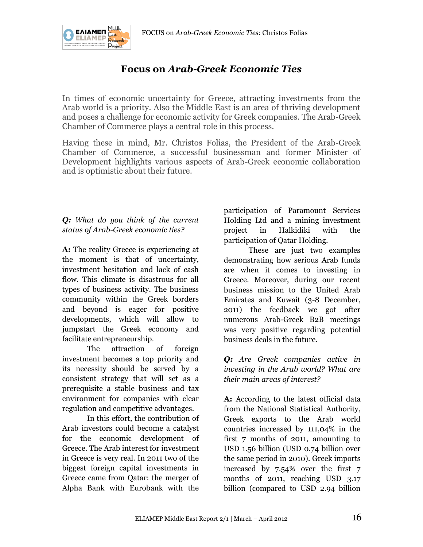

# **Focus on** *Arab-Greek Economic Ties*

In times of economic uncertainty for Greece, attracting investments from the Arab world is a priority. Also the Middle East is an area of thriving development and poses a challenge for economic activity for Greek companies. The Arab-Greek Chamber of Commerce plays a central role in this process.

Having these in mind, Mr. Christos Folias, the President of the Arab-Greek Chamber of Commerce, a successful businessman and former Minister of Development highlights various aspects of Arab-Greek economic collaboration and is optimistic about their future.

# *Q: What do you think of the current status of Arab-Greek economic ties?*

**A:** The reality Greece is experiencing at the moment is that of uncertainty, investment hesitation and lack of cash flow. This climate is disastrous for all types of business activity. The business community within the Greek borders and beyond is eager for positive developments, which will allow to jumpstart the Greek economy and facilitate entrepreneurship.

The attraction of foreign investment becomes a top priority and its necessity should be served by a consistent strategy that will set as a prerequisite a stable business and tax environment for companies with clear regulation and competitive advantages.

In this effort, the contribution of Arab investors could become a catalyst for the economic development of Greece. The Arab interest for investment in Greece is very real. In 2011 two of the biggest foreign capital investments in Greece came from Qatar: the merger of Alpha Bank with Eurobank with the

participation of Paramount Services Holding Ltd and a mining investment project in Halkidiki with the participation of Qatar Holding.

These are just two examples demonstrating how serious Arab funds are when it comes to investing in Greece. Moreover, during our recent business mission to the United Arab Emirates and Kuwait (3-8 December, 2011) the feedback we got after numerous Arab-Greek B2B meetings was very positive regarding potential business deals in the future.

*Q: Are Greek companies active in investing in the Arab world? What are their main areas of interest?*

**A:** According to the latest official data from the National Statistical Authority, Greek exports to the Arab world countries increased by 111,04% in the first 7 months of 2011, amounting to USD 1.56 billion (USD 0.74 billion over the same period in 2010). Greek imports increased by 7.54% over the first 7 months of 2011, reaching USD 3.17 billion (compared to USD 2.94 billion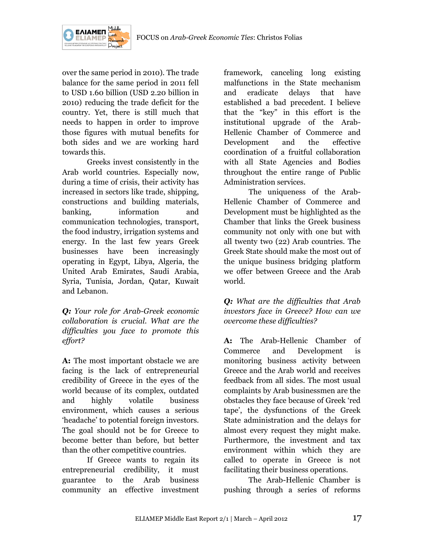



over the same period in 2010). The trade balance for the same period in 2011 fell to USD 1.60 billion (USD 2.20 billion in 2010) reducing the trade deficit for the country. Yet, there is still much that needs to happen in order to improve those figures with mutual benefits for both sides and we are working hard towards this.

Greeks invest consistently in the Arab world countries. Especially now, during a time of crisis, their activity has increased in sectors like trade, shipping, constructions and building materials, banking, information and communication technologies, transport, the food industry, irrigation systems and energy. In the last few years Greek businesses have been increasingly operating in Egypt, Libya, Algeria, the United Arab Emirates, Saudi Arabia, Syria, Tunisia, Jordan, Qatar, Kuwait and Lebanon.

*Q: Your role for Arab-Greek economic collaboration is crucial. What are the difficulties you face to promote this effort?*

**A:** The most important obstacle we are facing is the lack of entrepreneurial credibility of Greece in the eyes of the world because of its complex, outdated and highly volatile business environment, which causes a serious 'headache' to potential foreign investors. The goal should not be for Greece to become better than before, but better than the other competitive countries.

If Greece wants to regain its entrepreneurial credibility, it must guarantee to the Arab business community an effective investment

framework, canceling long existing malfunctions in the State mechanism and eradicate delays that have established a bad precedent. I believe that the "key" in this effort is the institutional upgrade of the Arab-Hellenic Chamber of Commerce and Development and the effective coordination of a fruitful collaboration with all State Agencies and Bodies throughout the entire range of Public Administration services.

The uniqueness of the Arab-Hellenic Chamber of Commerce and Development must be highlighted as the Chamber that links the Greek business community not only with one but with all twenty two (22) Arab countries. The Greek State should make the most out of the unique business bridging platform we offer between Greece and the Arab world.

*Q: What are the difficulties that Arab investors face in Greece? How can we overcome these difficulties?*

**A:** The Arab-Hellenic Chamber of Commerce and Development is monitoring business activity between Greece and the Arab world and receives feedback from all sides. The most usual complaints by Arab businessmen are the obstacles they face because of Greek 'red tape', the dysfunctions of the Greek State administration and the delays for almost every request they might make. Furthermore, the investment and tax environment within which they are called to operate in Greece is not facilitating their business operations.

The Arab-Hellenic Chamber is pushing through a series of reforms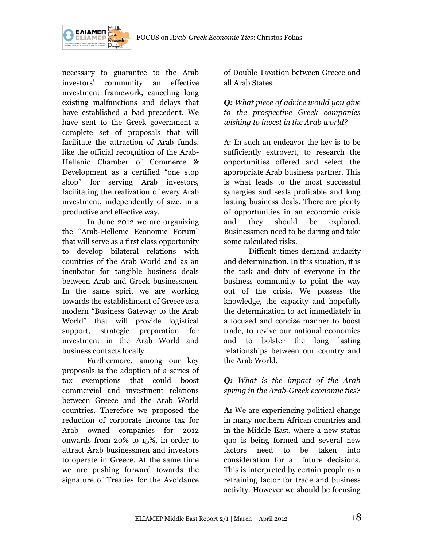

necessary to guarantee to the Arab investors' community an effective investment framework, canceling long existing malfunctions and delays that have established a bad precedent. We have sent to the Greek government a complete set of proposals that will facilitate the attraction of Arab funds, like the official recognition of the Arab-Hellenic Chamber of Commerce & Development as a certified "one stop shop" for serving Arab investors, facilitating the realization of every Arab investment, independently of size, in a productive and effective way.

In June 2012 we are organizing the "Arab-Hellenic Economic Forum" that will serve as a first class opportunity to develop bilateral relations with countries of the Arab World and as an incubator for tangible business deals between Arab and Greek businessmen. In the same spirit we are working towards the establishment of Greece as a modern "Business Gateway to the Arab World" that will provide logistical support, strategic preparation for investment in the Arab World and business contacts locally.

Furthermore, among our key proposals is the adoption of a series of tax exemptions that could boost commercial and investment relations between Greece and the Arab World countries. Therefore we proposed the reduction of corporate income tax for Arab owned companies for 2012 onwards from 20% to 15%, in order to attract Arab businessmen and investors to operate in Greece. At the same time we are pushing forward towards the signature of Treaties for the Avoidance

of Double Taxation between Greece and all Arab States.

*Q: What piece of advice would you give to the prospective Greek companies wishing to invest in the Arab world?*

A: In such an endeavor the key is to be sufficiently extrovert, to research the opportunities offered and select the appropriate Arab business partner. This is what leads to the most successful synergies and seals profitable and long lasting business deals. There are plenty of opportunities in an economic crisis and they should be explored. Businessmen need to be daring and take some calculated risks.

Difficult times demand audacity and determination. In this situation, it is the task and duty of everyone in the business community to point the way out of the crisis. We possess the knowledge, the capacity and hopefully the determination to act immediately in a focused and concise manner to boost trade, to revive our national economies and to bolster the long lasting relationships between our country and the Arab World.

### *Q: What is the impact of the Arab spring in the Arab-Greek economic ties?*

**A:** We are experiencing political change in many northern African countries and in the Middle East, where a new status quo is being formed and several new factors need to be taken into consideration for all future decisions. This is interpreted by certain people as a refraining factor for trade and business activity. However we should be focusing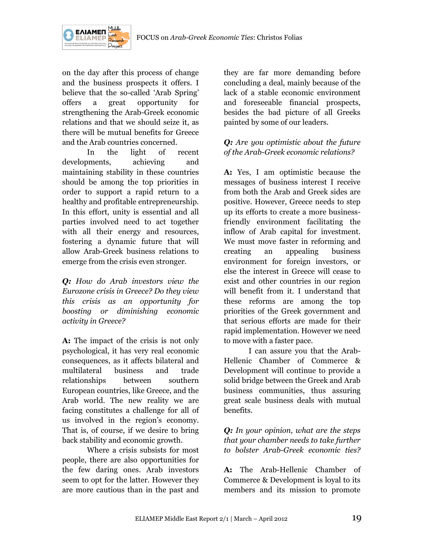



on the day after this process of change and the business prospects it offers. I believe that the so-called 'Arab Spring' offers a great opportunity for strengthening the Arab-Greek economic relations and that we should seize it, as there will be mutual benefits for Greece and the Arab countries concerned.

In the light of recent developments, achieving and maintaining stability in these countries should be among the top priorities in order to support a rapid return to a healthy and profitable entrepreneurship. In this effort, unity is essential and all parties involved need to act together with all their energy and resources, fostering a dynamic future that will allow Arab-Greek business relations to emerge from the crisis even stronger.

*Q: How do Arab investors view the Eurozone crisis in Greece? Do they view this crisis as an opportunity for boosting or diminishing economic activity in Greece?*

**A:** The impact of the crisis is not only psychological, it has very real economic consequences, as it affects bilateral and multilateral business and trade relationships between southern European countries, like Greece, and the Arab world. The new reality we are facing constitutes a challenge for all of us involved in the region's economy. That is, of course, if we desire to bring back stability and economic growth.

Where a crisis subsists for most people, there are also opportunities for the few daring ones. Arab investors seem to opt for the latter. However they are more cautious than in the past and

they are far more demanding before concluding a deal, mainly because of the lack of a stable economic environment and foreseeable financial prospects, besides the bad picture of all Greeks painted by some of our leaders.

## *Q: Are you optimistic about the future of the Arab-Greek economic relations?*

**A:** Yes, I am optimistic because the messages of business interest I receive from both the Arab and Greek sides are positive. However, Greece needs to step up its efforts to create a more businessfriendly environment facilitating the inflow of Arab capital for investment. We must move faster in reforming and creating an appealing business environment for foreign investors, or else the interest in Greece will cease to exist and other countries in our region will benefit from it. I understand that these reforms are among the top priorities of the Greek government and that serious efforts are made for their rapid implementation. However we need to move with a faster pace.

I can assure you that the Arab-Hellenic Chamber of Commerce & Development will continue to provide a solid bridge between the Greek and Arab business communities, thus assuring great scale business deals with mutual benefits.

*Q: In your opinion, what are the steps that your chamber needs to take further to bolster Arab-Greek economic ties?*

**A:** The Arab-Hellenic Chamber of Commerce & Development is loyal to its members and its mission to promote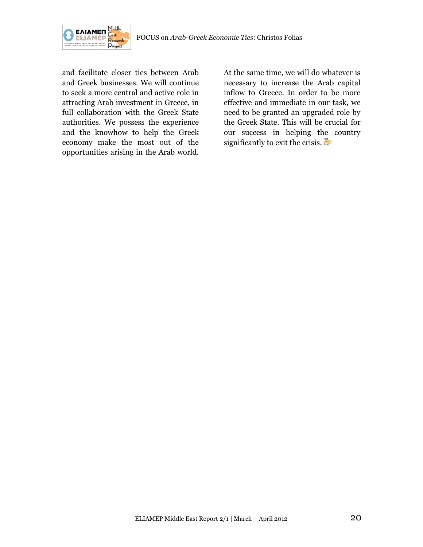

and facilitate closer ties between Arab and Greek businesses. We will continue to seek a more central and active role in attracting Arab investment in Greece, in full collaboration with the Greek State authorities. We possess the experience and the knowhow to help the Greek economy make the most out of the opportunities arising in the Arab world. At the same time, we will do whatever is necessary to increase the Arab capital inflow to Greece. In order to be more effective and immediate in our task, we need to be granted an upgraded role by the Greek State. This will be crucial for our success in helping the country significantly to exit the crisis.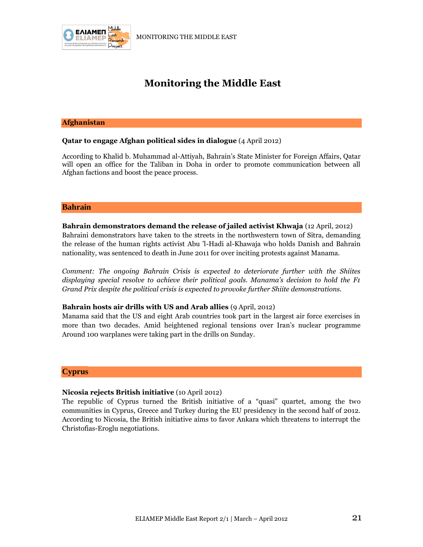

# **Monitoring the Middle East**

#### **Afghanistan**

#### **Qatar to engage Afghan political sides in dialogue** (4 April 2012)

According to Khalid b. Muhammad al-Attiyah, Bahrain's State Minister for Foreign Affairs, Qatar will open an office for the Taliban in Doha in order to promote communication between all Afghan factions and boost the peace process.

#### **Bahrain**

**Bahrain demonstrators demand the release of jailed activist Khwaja** (12 April, 2012) Bahraini demonstrators have taken to the streets in the northwestern town of Sitra, demanding the release of the human rights activist Abu 'l-Hadi al-Khawaja who holds Danish and Bahrain nationality, was sentenced to death in June 2011 for over inciting protests against Manama.

*Comment: The ongoing Bahrain Crisis is expected to deteriorate further with the Shiites displaying special resolve to achieve their political goals. Manama's decision to hold the F1 Grand Prix despite the political crisis is expected to provoke further Shiite demonstrations.*

#### **Bahrain hosts air drills with US and Arab allies** (9 April, 2012)

Manama said that the US and eight Arab countries took part in the largest air force exercises in more than two decades. Amid heightened regional tensions over Iran's nuclear programme Around 100 warplanes were taking part in the drills on Sunday.

#### **Cyprus**

#### **Nicosia rejects British initiative** (10 April 2012)

The republic of Cyprus turned the British initiative of a "quasi" quartet, among the two communities in Cyprus, Greece and Turkey during the EU presidency in the second half of 2012. According to Nicosia, the British initiative aims to favor Ankara which threatens to interrupt the Christofias-Eroglu negotiations.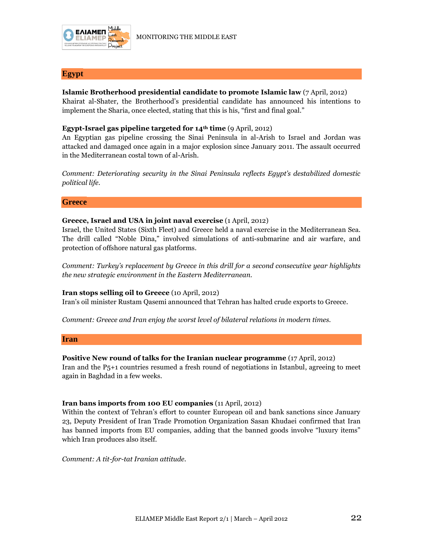

#### **Egypt**

#### **Islamic Brotherhood presidential candidate to promote Islamic law** (7 April, 2012)

Khairat al-Shater, the Brotherhood's presidential candidate has announced his intentions to implement the Sharia, once elected, stating that this is his, "first and final goal."

#### **Egypt-Israel gas pipeline targeted for 14th time** (9 April, 2012)

An Egyptian gas pipeline crossing the Sinai Peninsula in al-Arish to Israel and Jordan was attacked and damaged once again in a major explosion since January 2011. The assault occurred in the Mediterranean costal town of al-Arish.

*Comment: Deteriorating security in the Sinai Peninsula reflects Egypt's destabilized domestic political life.* 

#### **Greece**

#### **Greece, Israel and USA in joint naval exercise** (1 April, 2012)

Israel, the United States (Sixth Fleet) and Greece held a naval exercise in the Mediterranean Sea. The drill called "Noble Dina," involved simulations of anti-submarine and air warfare, and protection of offshore natural gas platforms.

*Comment: Turkey's replacement by Greece in this drill for a second consecutive year highlights the new strategic environment in the Eastern Mediterranean.*

#### **Iran stops selling oil to Greece** (10 April, 2012)

Iran's oil minister Rustam Qasemi announced that Tehran has halted crude exports to Greece.

*Comment: Greece and Iran enjoy the worst level of bilateral relations in modern times.*

#### **Iran**

#### **Positive New round of talks for the Iranian nuclear programme** (17 April, 2012)

Iran and the P5+1 countries resumed a fresh round of negotiations in Istanbul, agreeing to meet again in Baghdad in a few weeks.

#### **Iran bans imports from 100 EU companies** (11 April, 2012)

Within the context of Tehran's effort to counter European oil and bank sanctions since January 23, Deputy President of Iran Trade Promotion Organization Sasan Khudaei confirmed that Iran has banned imports from EU companies, adding that the banned goods involve "luxury items" which Iran produces also itself.

*Comment: A tit-for-tat Iranian attitude.*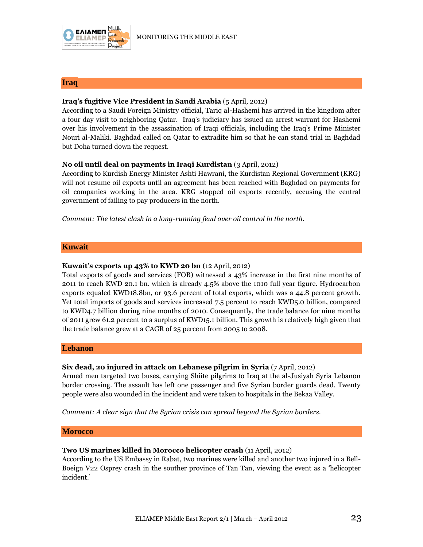

#### **Iraq**

#### **Iraq's fugitive Vice President in Saudi Arabia** (5 April, 2012)

According to a Saudi Foreign Ministry official, Tariq al-Hashemi has arrived in the kingdom after a four day visit to neighboring Qatar. Ιraq's judiciary has issued an arrest warrant for Hashemi over his involvement in the assassination of Iraqi officials, including the Iraq's Prime Minister Nouri al-Maliki. Baghdad called on Qatar to extradite him so that he can stand trial in Baghdad but Doha turned down the request.

#### **No oil until deal on payments in Iraqi Kurdistan** (3 April, 2012)

According to Kurdish Energy Minister Ashti Hawrani, the Kurdistan Regional Government (KRG) will not resume oil exports until an agreement has been reached with Baghdad on payments for oil companies working in the area. KRG stopped oil exports recently, accusing the central government of failing to pay producers in the north.

*Comment: The latest clash in a long-running feud over oil control in the north.*

#### **Kuwait**

#### **Kuwait's exports up 43% to KWD 20 bn** (12 April, 2012)

Total exports of goods and services (FOB) witnessed a 43% increase in the first nine months of 2011 to reach KWD 20.1 bn. which is already 4.5% above the 1010 full year figure. Hydrocarbon exports equaled KWD18.8bn, or 93.6 percent of total exports, which was a 44.8 percent growth. Yet total imports of goods and services increased 7.5 percent to reach KWD5.0 billion, compared to KWD4.7 billion during nine months of 2010. Consequently, the trade balance for nine months of 2011 grew 61.2 percent to a surplus of KWD15.1 billion. This growth is relatively high given that the trade balance grew at a CAGR of 25 percent from 2005 to 2008.

#### **Lebanon**

#### **Six dead, 20 injured in attack on Lebanese pilgrim in Syria** (7 April, 2012)

Armed men targeted two buses, carrying Shiite pilgrims to Iraq at the al-Jusiyah Syria Lebanon border crossing. The assault has left one passenger and five Syrian border guards dead. Twenty people were also wounded in the incident and were taken to hospitals in the Bekaa Valley.

*Comment: A clear sign that the Syrian crisis can spread beyond the Syrian borders.*

#### **Morocco**

#### **Two US marines killed in Morocco helicopter crash** (11 April, 2012)

According to the US Embassy in Rabat, two marines were killed and another two injured in a Bell-Boeign V22 Osprey crash in the souther province of Tan Tan, viewing the event as a 'helicopter incident.'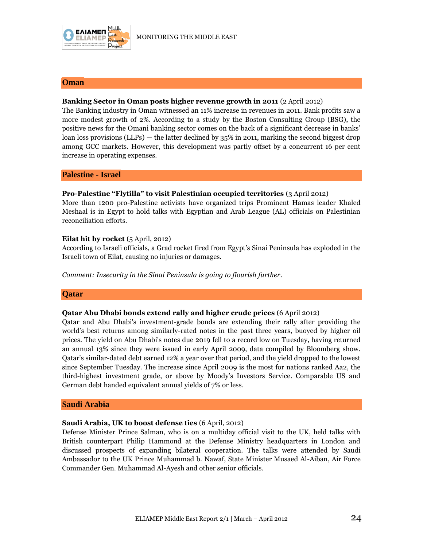

#### **Oman**

#### **Banking Sector in Oman posts higher revenue growth in 2011** (2 April 2012)

The Banking industry in Oman witnessed an 11% increase in revenues in 2011. Bank profits saw a more modest growth of 2%. According to a study by the Boston Consulting Group (BSG), the positive news for the Omani banking sector comes on the back of a significant decrease in banks' loan loss provisions (LLPs) — the latter declined by 35% in 2011, marking the second biggest drop among GCC markets. However, this development was partly offset by a concurrent 16 per cent increase in operating expenses.

#### **Palestine - Israel**

#### **Pro-Palestine "Flytilla" to visit Palestinian occupied territories** (3 April 2012)

More than 1200 pro-Palestine activists have organized trips Prominent Hamas leader Khaled Meshaal is in Egypt to hold talks with Egyptian and Arab League (AL) officials on Palestinian reconciliation efforts.

#### **Eilat hit by rocket** (5 April, 2012)

According to Israeli officials, a Grad rocket fired from Egypt's Sinai Peninsula has exploded in the Israeli town of Eilat, causing no injuries or damages.

*Comment: Insecurity in the Sinai Peninsula is going to flourish further.*

#### **Qatar**

#### **Qatar Abu Dhabi bonds extend rally and higher crude prices** (6 April 2012)

Qatar and Abu Dhabi's investment-grade bonds are extending their rally after providing the world's best returns among similarly-rated notes in the past three years, buoyed by higher oil prices. The yield on Abu Dhabi's notes due 2019 fell to a record low on Tuesday, having returned an annual 13% since they were issued in early April 2009, data compiled by Bloomberg show. Qatar's similar-dated debt earned 12% a year over that period, and the yield dropped to the lowest since September Tuesday. The increase since April 2009 is the most for nations ranked Aa2, the third-highest investment grade, or above by Moody's Investors Service. Comparable US and German debt handed equivalent annual yields of 7% or less.

#### **Saudi Arabia**

#### **Saudi Arabia, UK to boost defense ties** (6 April, 2012)

Defense Minister Prince Salman, who is on a multiday official visit to the UK, held talks with British counterpart Philip Hammond at the Defense Ministry headquarters in London and discussed prospects of expanding bilateral cooperation. The talks were attended by Saudi Ambassador to the UK Prince Muhammad b. Nawaf, State Minister Musaed Al-Aiban, Air Force Commander Gen. Muhammad Al-Ayesh and other senior officials.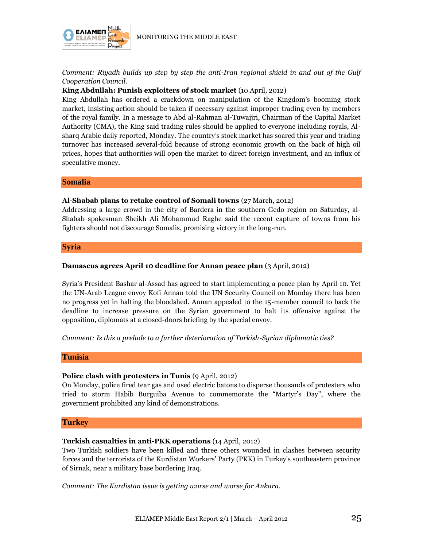

*Comment: Riyadh builds up step by step the anti-Iran regional shield in and out of the Gulf Cooperation Council.*

#### **King Abdullah: Punish exploiters of stock market** (10 April, 2012)

King Abdullah has ordered a crackdown on manipulation of the Kingdom's booming stock market, insisting action should be taken if necessary against improper trading even by members of the royal family. In a message to Abd al-Rahman al-Tuwaijri, Chairman of the Capital Market Authority (CMA), the King said trading rules should be applied to everyone including royals, Alsharq Arabic daily reported, Monday. The country's stock market has soared this year and trading turnover has increased several-fold because of strong economic growth on the back of high oil prices, hopes that authorities will open the market to direct foreign investment, and an influx of speculative money.

**Somalia**

#### **Al-Shabab plans to retake control of Somali towns** (27 March, 2012)

Addressing a large crowd in the city of Bardera in the southern Gedo region on Saturday, al-Shabab spokesman Sheikh Ali Mohammud Raghe said the recent capture of towns from his fighters should not discourage Somalis, promising victory in the long-run.

#### **Syria**

#### **Damascus agrees April 10 deadline for Annan peace plan** (3 April, 2012)

Syria's President Bashar al-Assad has agreed to start implementing a peace plan by April 10. Yet the UN-Arab League envoy Kofi Annan told the UN Security Council on Monday there has been no progress yet in halting the bloodshed. Annan appealed to the 15-member council to back the deadline to increase pressure on the Syrian government to halt its offensive against the opposition, diplomats at a closed-doors briefing by the special envoy.

*Comment: Is this a prelude to a further deterioration of Turkish-Syrian diplomatic ties?*

#### **Tunisia**

#### **Police clash with protesters in Tunis** (9 April, 2012)

On Monday, police fired tear gas and used electric batons to disperse thousands of protesters who tried to storm Habib Burguiba Avenue to commemorate the "Martyr's Day", where the government prohibited any kind of demonstrations.

#### **Turkey**

#### **Turkish casualties in anti-PKK operations** (14 April, 2012)

Two Turkish soldiers have been killed and three others wounded in clashes between security forces and the terrorists of the Kurdistan Workers' Party (PKK) in Turkey's southeastern province of Sirnak, near a military base bordering Iraq.

*Comment: The Kurdistan issue is getting worse and worse for Ankara.*